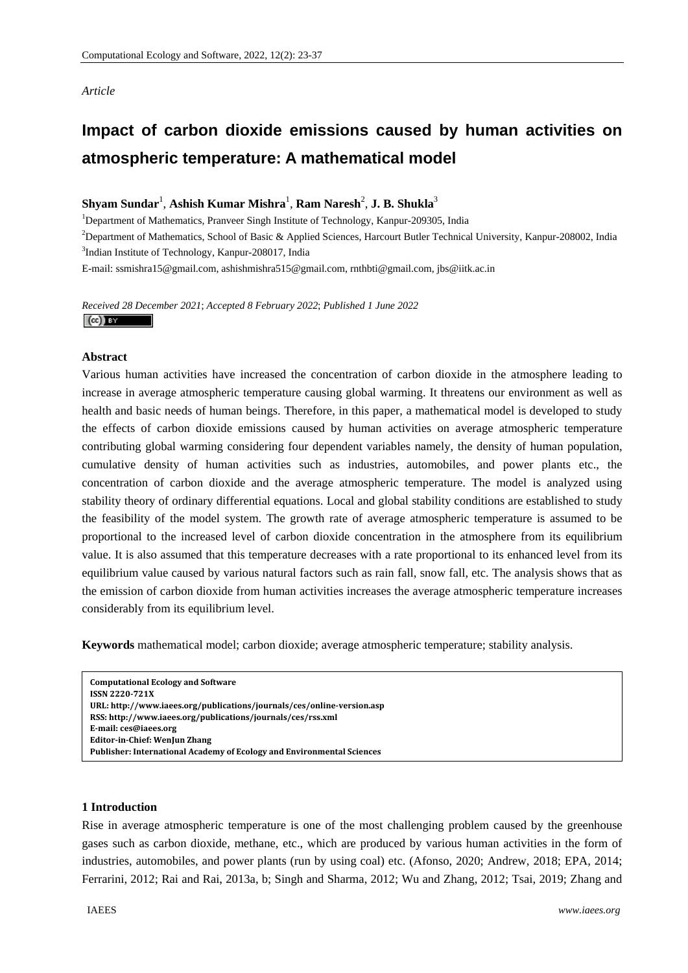# *Article*

# **Impact of carbon dioxide emissions caused by human activities on atmospheric temperature: A mathematical model**

 $\boldsymbol{\mathrm{Shyam\,Sundar}^{\text{l}}}, \boldsymbol{\mathrm{Ashish\,Kumar\,Mishra}^{\text{l}}}, \boldsymbol{\mathrm{Ram\,Naresh}^{\text{2}}}, \boldsymbol{\mathrm{J. B.\,Shukla}^{\text{3}}}.$ 

<sup>1</sup>Department of Mathematics, Pranveer Singh Institute of Technology, Kanpur-209305, India

2 Department of Mathematics, School of Basic & Applied Sciences, Harcourt Butler Technical University, Kanpur-208002, India 3 Indian Institute of Technology, Kanpur-208017, India

E-mail: ssmishra15@gmail.com, ashishmishra515@gmail.com, rnthbti@gmail.com, jbs@iitk.ac.in

*Received 28 December 2021*; *Accepted 8 February 2022*; *Published 1 June 2022*   $(cc)$  BY

## **Abstract**

Various human activities have increased the concentration of carbon dioxide in the atmosphere leading to increase in average atmospheric temperature causing global warming. It threatens our environment as well as health and basic needs of human beings. Therefore, in this paper, a mathematical model is developed to study the effects of carbon dioxide emissions caused by human activities on average atmospheric temperature contributing global warming considering four dependent variables namely, the density of human population, cumulative density of human activities such as industries, automobiles, and power plants etc., the concentration of carbon dioxide and the average atmospheric temperature. The model is analyzed using stability theory of ordinary differential equations. Local and global stability conditions are established to study the feasibility of the model system. The growth rate of average atmospheric temperature is assumed to be proportional to the increased level of carbon dioxide concentration in the atmosphere from its equilibrium value. It is also assumed that this temperature decreases with a rate proportional to its enhanced level from its equilibrium value caused by various natural factors such as rain fall, snow fall, etc. The analysis shows that as the emission of carbon dioxide from human activities increases the average atmospheric temperature increases considerably from its equilibrium level.

**Keywords** mathematical model; carbon dioxide; average atmospheric temperature; stability analysis.

```
Computational Ecology and Software   
ISSN 2220721X   
URL: http://www.iaees.org/publications/journals/ces/onlineversion.asp
RSS: http://www.iaees.org/publications/journals/ces/rss.xml
Email: ces@iaees.org
EditorinChief: WenJun Zhang
Publisher: International Academy of Ecology and Environmental Sciences
```
## **1 Introduction**

Rise in average atmospheric temperature is one of the most challenging problem caused by the greenhouse gases such as carbon dioxide, methane, etc., which are produced by various human activities in the form of industries, automobiles, and power plants (run by using coal) etc. (Afonso, 2020; Andrew, 2018; EPA, 2014; Ferrarini, 2012; Rai and Rai, 2013a, b; Singh and Sharma, 2012; Wu and Zhang, 2012; Tsai, 2019; Zhang and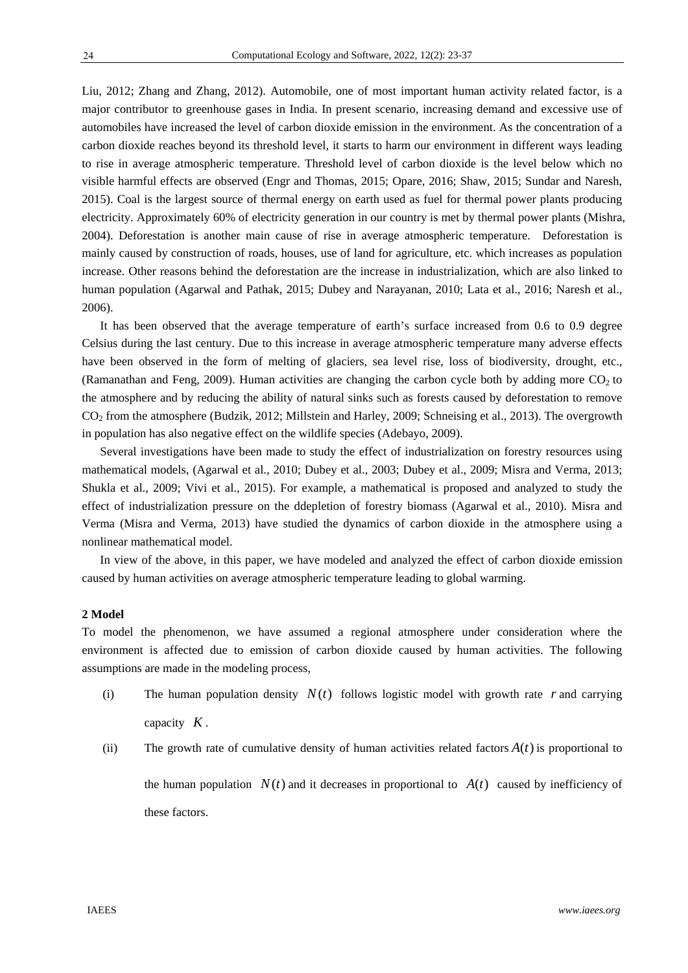Liu, 2012; Zhang and Zhang, 2012). Automobile, one of most important human activity related factor, is a major contributor to greenhouse gases in India. In present scenario, increasing demand and excessive use of automobiles have increased the level of carbon dioxide emission in the environment. As the concentration of a carbon dioxide reaches beyond its threshold level, it starts to harm our environment in different ways leading to rise in average atmospheric temperature. Threshold level of carbon dioxide is the level below which no visible harmful effects are observed (Engr and Thomas, 2015; Opare, 2016; Shaw, 2015; Sundar and Naresh, 2015). Coal is the largest source of thermal energy on earth used as fuel for thermal power plants producing electricity. Approximately 60% of electricity generation in our country is met by thermal power plants (Mishra, 2004). Deforestation is another main cause of rise in average atmospheric temperature. Deforestation is mainly caused by construction of roads, houses, use of land for agriculture, etc. which increases as population increase. Other reasons behind the deforestation are the increase in industrialization, which are also linked to human population (Agarwal and Pathak, 2015; Dubey and Narayanan, 2010; Lata et al., 2016; Naresh et al., 2006).

It has been observed that the average temperature of earth's surface increased from 0.6 to 0.9 degree Celsius during the last century. Due to this increase in average atmospheric temperature many adverse effects have been observed in the form of melting of glaciers, sea level rise, loss of biodiversity, drought, etc., (Ramanathan and Feng, 2009). Human activities are changing the carbon cycle both by adding more  $CO<sub>2</sub>$  to the atmosphere and by reducing the ability of natural sinks such as forests caused by deforestation to remove CO2 from the atmosphere (Budzik, 2012; Millstein and Harley, 2009; Schneising et al., 2013). The overgrowth in population has also negative effect on the wildlife species (Adebayo, 2009).

Several investigations have been made to study the effect of industrialization on forestry resources using mathematical models, (Agarwal et al., 2010; Dubey et al., 2003; Dubey et al., 2009; Misra and Verma, 2013; Shukla et al., 2009; Vivi et al., 2015). For example, a mathematical is proposed and analyzed to study the effect of industrialization pressure on the ddepletion of forestry biomass (Agarwal et al., 2010). Misra and Verma (Misra and Verma, 2013) have studied the dynamics of carbon dioxide in the atmosphere using a nonlinear mathematical model.

In view of the above, in this paper, we have modeled and analyzed the effect of carbon dioxide emission caused by human activities on average atmospheric temperature leading to global warming.

# **2 Model**

To model the phenomenon, we have assumed a regional atmosphere under consideration where the environment is affected due to emission of carbon dioxide caused by human activities. The following assumptions are made in the modeling process,

- (i) The human population density  $N(t)$  follows logistic model with growth rate r and carrying capacity *K* .
- (ii) The growth rate of cumulative density of human activities related factors  $A(t)$  is proportional to

the human population  $N(t)$  and it decreases in proportional to  $A(t)$  caused by inefficiency of these factors.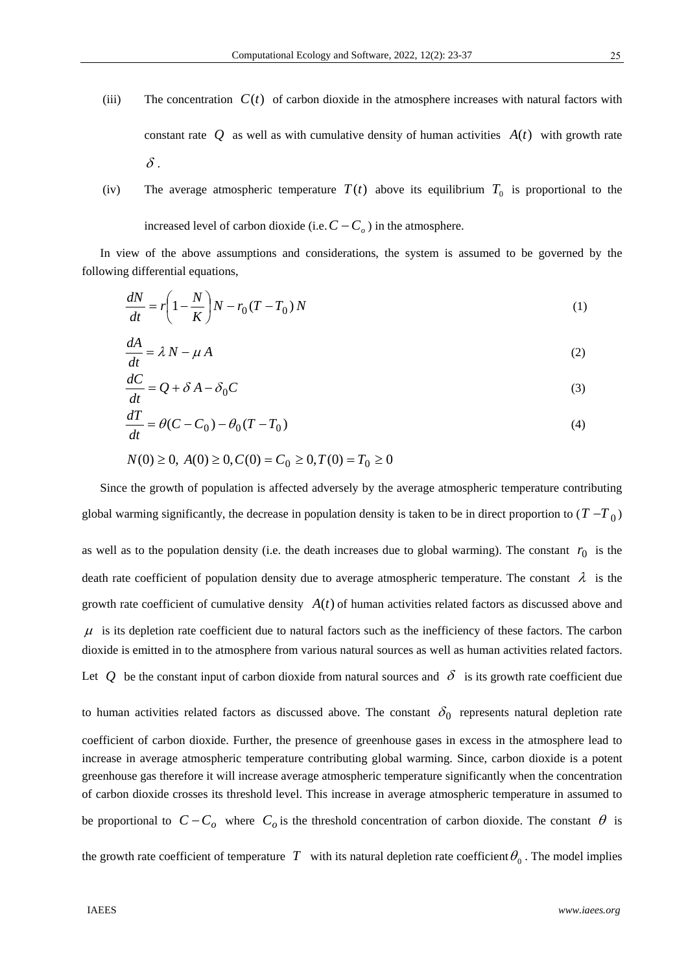- (iii) The concentration  $C(t)$  of carbon dioxide in the atmosphere increases with natural factors with constant rate O as well as with cumulative density of human activities  $A(t)$  with growth rate  $\delta$  .
- (iv) The average atmospheric temperature  $T(t)$  above its equilibrium  $T_0$  is proportional to the increased level of carbon dioxide (i.e.  $C - C<sub>o</sub>$ ) in the atmosphere.

In view of the above assumptions and considerations, the system is assumed to be governed by the following differential equations,

$$
\frac{dN}{dt} = r\left(1 - \frac{N}{K}\right)N - r_0(T - T_0)N\tag{1}
$$

$$
\frac{dA}{dt} = \lambda N - \mu A \tag{2}
$$

$$
\frac{dC}{dt} = Q + \delta A - \delta_0 C \tag{3}
$$

$$
\frac{dT}{dt} = \theta(C - C_0) - \theta_0 (T - T_0)
$$
\n<sup>(4)</sup>

$$
N(0) \ge 0, A(0) \ge 0, C(0) = C_0 \ge 0, T(0) = T_0 \ge 0
$$

Since the growth of population is affected adversely by the average atmospheric temperature contributing global warming significantly, the decrease in population density is taken to be in direct proportion to  $(T-T_0)$ 

as well as to the population density (i.e. the death increases due to global warming). The constant  $r_0$  is the death rate coefficient of population density due to average atmospheric temperature. The constant  $\lambda$  is the growth rate coefficient of cumulative density  $A(t)$  of human activities related factors as discussed above and  $\mu$  is its depletion rate coefficient due to natural factors such as the inefficiency of these factors. The carbon dioxide is emitted in to the atmosphere from various natural sources as well as human activities related factors. Let Q be the constant input of carbon dioxide from natural sources and  $\delta$  is its growth rate coefficient due

to human activities related factors as discussed above. The constant  $\delta_0$  represents natural depletion rate coefficient of carbon dioxide. Further, the presence of greenhouse gases in excess in the atmosphere lead to increase in average atmospheric temperature contributing global warming. Since, carbon dioxide is a potent greenhouse gas therefore it will increase average atmospheric temperature significantly when the concentration of carbon dioxide crosses its threshold level. This increase in average atmospheric temperature in assumed to be proportional to  $C - C_o$  where  $C_o$  is the threshold concentration of carbon dioxide. The constant  $\theta$  is the growth rate coefficient of temperature *T* with its natural depletion rate coefficient  $\theta_0$ . The model implies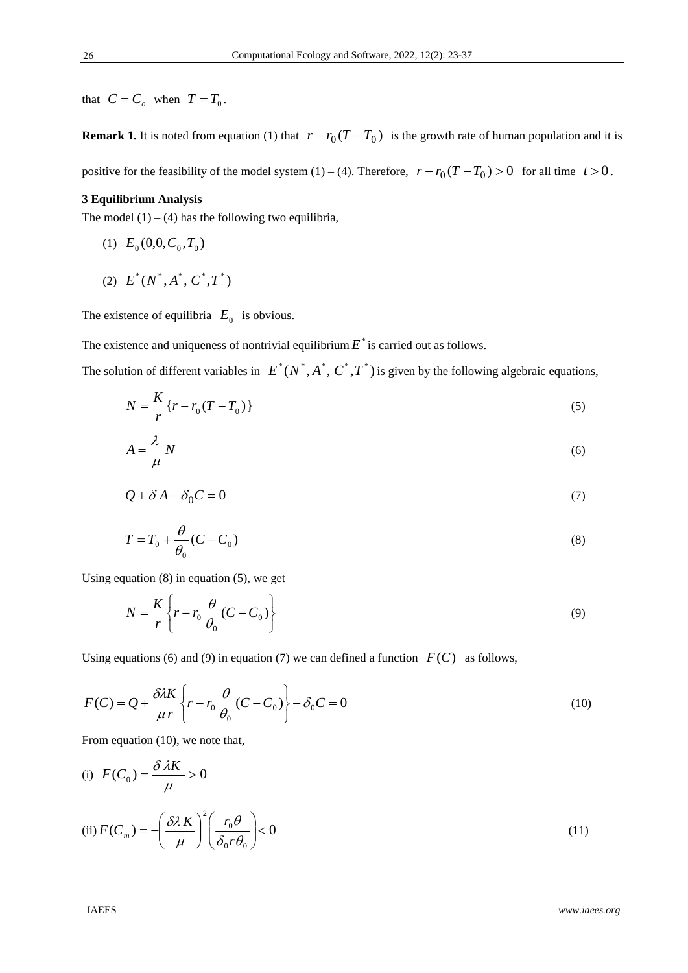that  $C = C_o$  when  $T = T_0$ .

**Remark 1.** It is noted from equation (1) that  $r - r_0(T - T_0)$  is the growth rate of human population and it is

positive for the feasibility of the model system (1) – (4). Therefore,  $r - r_0(T - T_0) > 0$  for all time  $t > 0$ .

# **3 Equilibrium Analysis**

The model  $(1) - (4)$  has the following two equilibria,

- (1)  $E_0(0,0,C_0,T_0)$
- (2)  $E^*(N^*,A^*,C^*,T^*)$

The existence of equilibria  $E_0$  is obvious.

The existence and uniqueness of nontrivial equilibrium  $E^*$  is carried out as follows.

The solution of different variables in  $E^*(N^*, A^*, C^*, T^*)$  is given by the following algebraic equations,

$$
N = \frac{K}{r} \{r - r_0 (T - T_0) \}
$$
\n(5)

$$
A = \frac{\lambda}{\mu} N \tag{6}
$$

$$
Q + \delta A - \delta_0 C = 0 \tag{7}
$$

$$
T = T_0 + \frac{\theta}{\theta_0} (C - C_0)
$$
\n<sup>(8)</sup>

Using equation (8) in equation (5), we get

$$
N = \frac{K}{r} \left\{ r - r_0 \frac{\theta}{\theta_0} (C - C_0) \right\}
$$
 (9)

Using equations (6) and (9) in equation (7) we can defined a function  $F(C)$  as follows,

$$
F(C) = Q + \frac{\partial \lambda K}{\mu r} \left\{ r - r_0 \frac{\theta}{\theta_0} (C - C_0) \right\} - \delta_0 C = 0
$$
 (10)

From equation (10), we note that,

(i) 
$$
F(C_0) = \frac{\delta \lambda K}{\mu} > 0
$$
  
(ii)  $F(C_m) = -\left(\frac{\delta \lambda K}{\mu}\right)^2 \left(\frac{r_0 \theta}{\delta_0 r \theta_0}\right) < 0$  (11)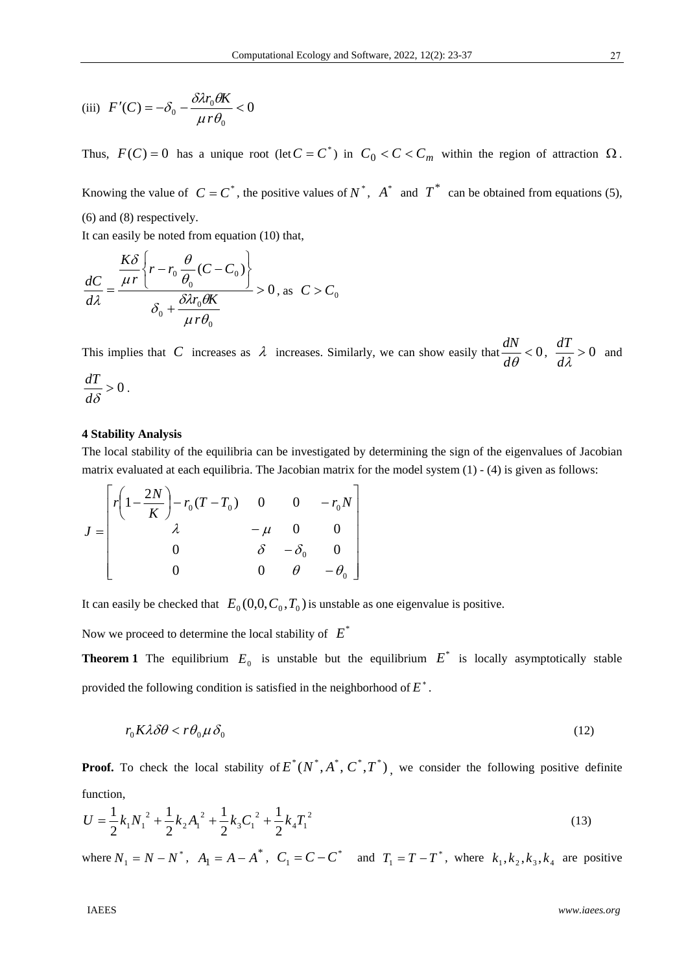(iii) 
$$
F'(C) = -\delta_0 - \frac{\delta \lambda r_0 \theta K}{\mu r \theta_0} < 0
$$

Thus,  $F(C) = 0$  has a unique root (let  $C = C^*$ ) in  $C_0 < C < C_m$  within the region of attraction  $\Omega$ .

Knowing the value of  $C = C^*$ , the positive values of  $N^*$ ,  $A^*$  and  $T^*$  can be obtained from equations (5), (6) and (8) respectively.

It can easily be noted from equation (10) that,

$$
\frac{dC}{d\lambda} = \frac{\frac{K\delta}{\mu r} \left\{ r - r_0 \frac{\theta}{\theta_0} (C - C_0) \right\}}{\delta_0 + \frac{\delta \lambda r_0 \theta K}{\mu r \theta_0}} > 0, \text{ as } C > C_0
$$

This implies that *C* increases as  $\lambda$  increases. Similarly, we can show easily that  $\frac{du}{dx} < 0$  $d\theta$  $\frac{dN}{dt}$  < 0,  $\frac{dT}{dt}$  > 0 *d*  $\frac{dT}{dt} > 0$  and

$$
\frac{dT}{d\delta}>0.
$$

#### **4 Stability Analysis**

The local stability of the equilibria can be investigated by determining the sign of the eigenvalues of Jacobian matrix evaluated at each equilibria. The Jacobian matrix for the model system (1) - (4) is given as follows:

$$
J = \begin{bmatrix} r \left( 1 - \frac{2N}{K} \right) - r_0 (T - T_0) & 0 & 0 & -r_0 N \\ \lambda & -\mu & 0 & 0 \\ 0 & \delta & -\delta_0 & 0 \\ 0 & 0 & \theta & -\theta_0 \end{bmatrix}
$$

It can easily be checked that  $E_0(0,0,C_0,T_0)$  is unstable as one eigenvalue is positive.

Now we proceed to determine the local stability of  $E^*$ 

**Theorem 1** The equilibrium  $E_0$  is unstable but the equilibrium  $E^*$  is locally asymptotically stable provided the following condition is satisfied in the neighborhood of  $E^*$ .

$$
r_0 K \lambda \delta \theta < r \theta_0 \mu \delta_0 \tag{12}
$$

**Proof.** To check the local stability of  $E^*(N^*, A^*, C^*, T^*)$ , we consider the following positive definite function,

$$
U = \frac{1}{2}k_1 N_1^2 + \frac{1}{2}k_2 A_1^2 + \frac{1}{2}k_3 C_1^2 + \frac{1}{2}k_4 T_1^2
$$
\n(13)

where  $N_1 = N - N^*$ ,  $A_1 = A - A^*$ ,  $C_1 = C - C^*$  and  $T_1 = T - T^*$ , where  $k_1, k_2, k_3, k_4$  are positive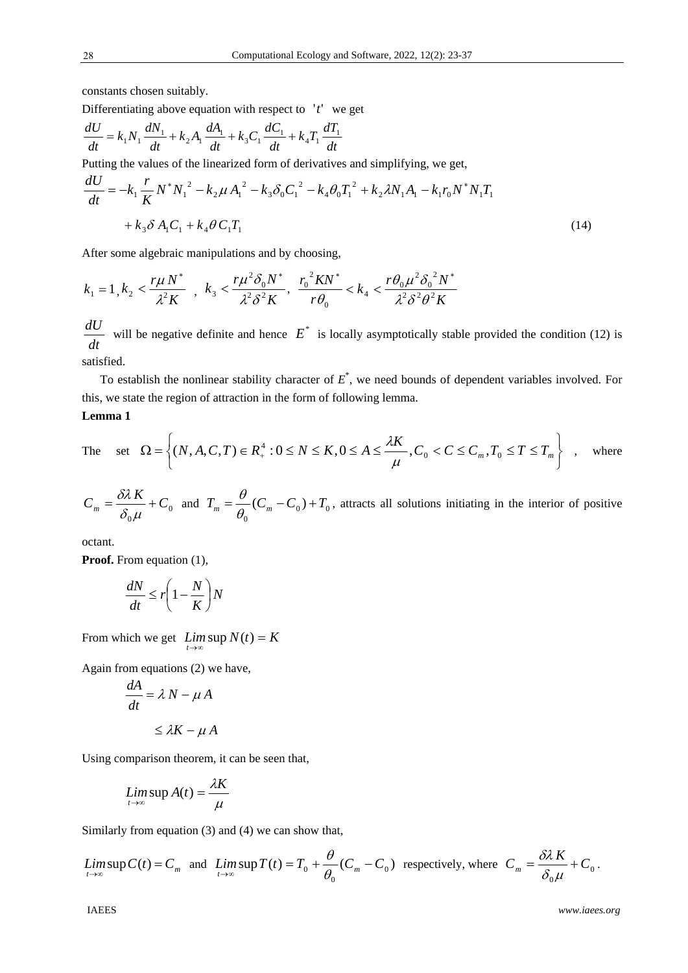constants chosen suitably.

Differentiating above equation with respect to  $'t'$  we get

$$
\frac{dU}{dt} = k_1 N_1 \frac{dN_1}{dt} + k_2 A_1 \frac{dA_1}{dt} + k_3 C_1 \frac{dC_1}{dt} + k_4 T_1 \frac{dT_1}{dt}
$$

Putting the values of the linearized form of derivatives and simplifying, we get,

$$
\frac{dU}{dt} = -k_1 \frac{r}{K} N^* N_1^2 - k_2 \mu A_1^2 - k_3 \delta_0 C_1^2 - k_4 \theta_0 T_1^2 + k_2 \lambda N_1 A_1 - k_1 r_0 N^* N_1 T_1
$$
  
+  $k_3 \delta A_1 C_1 + k_4 \theta C_1 T_1$  (14)

After some algebraic manipulations and by choosing,

$$
k_1 = 1, k_2 < \frac{r\mu N^*}{\lambda^2 K} \quad , \quad k_3 < \frac{r\mu^2 \delta_0 N^*}{\lambda^2 \delta^2 K} \quad , \quad \frac{r_0^2 K N^*}{r\theta_0} < k_4 < \frac{r\theta_0 \mu^2 \delta_0^2 N^*}{\lambda^2 \delta^2 \theta^2 K}
$$

*dt*  $\frac{dU}{dt}$  will be negative definite and hence  $E^*$  is locally asymptotically stable provided the condition (12) is satisfied.

To establish the nonlinear stability character of *E*\* , we need bounds of dependent variables involved. For this, we state the region of attraction in the form of following lemma.

# **Lemma 1**

The set 
$$
\Omega = \left\{ (N, A, C, T) \in R_+^4 : 0 \le N \le K, 0 \le A \le \frac{\lambda K}{\mu}, C_0 < C \le C_m, T_0 \le T \le T_m \right\}
$$
, where

$$
C_m = \frac{\partial \lambda K}{\partial_0 \mu} + C_0 \text{ and } T_m = \frac{\theta}{\theta_0} (C_m - C_0) + T_0 \text{, attracts all solutions initiating in the interior of positive}
$$

octant.

**Proof.** From equation (1),

$$
\frac{dN}{dt} \le r \left( 1 - \frac{N}{K} \right) N
$$

From which we get  $\lim_{t\to\infty} \sup N(t) = K$ 

Again from equations (2) we have,

$$
\frac{dA}{dt} = \lambda N - \mu A
$$

$$
\leq \lambda K - \mu A
$$

Using comparison theorem, it can be seen that,

$$
\limsup_{t\to\infty} A(t) = \frac{\lambda K}{\mu}
$$

Similarly from equation (3) and (4) we can show that,

$$
\limsup_{t \to \infty} C(t) = C_m \text{ and } \limsup_{t \to \infty} T(t) = T_0 + \frac{\theta}{\theta_0} (C_m - C_0) \text{ respectively, where } C_m = \frac{\delta \lambda K}{\delta_0 \mu} + C_0.
$$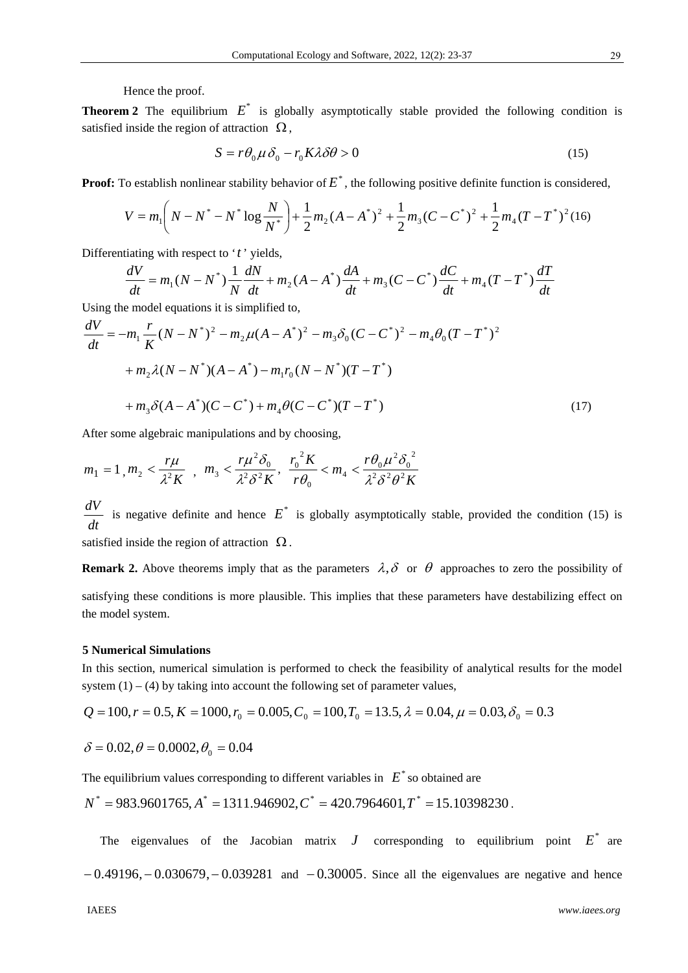Hence the proof.

**Theorem 2** The equilibrium  $E^*$  is globally asymptotically stable provided the following condition is satisfied inside the region of attraction  $\Omega$ ,

$$
S = r\theta_0 \mu \delta_0 - r_0 K \lambda \delta \theta > 0 \tag{15}
$$

**Proof:** To establish nonlinear stability behavior of  $E^*$ , the following positive definite function is considered,

$$
V = m_1 \left( N - N^* - N^* \log \frac{N}{N^*} \right) + \frac{1}{2} m_2 (A - A^*)^2 + \frac{1}{2} m_3 (C - C^*)^2 + \frac{1}{2} m_4 (T - T^*)^2 (16)
$$

Differentiating with respect to '*t* ' yields,

$$
\frac{dV}{dt} = m_1(N - N^*) \frac{1}{N} \frac{dN}{dt} + m_2(A - A^*) \frac{dA}{dt} + m_3(C - C^*) \frac{dC}{dt} + m_4(T - T^*) \frac{dT}{dt}
$$

Using the model equations it is simplified to,

$$
\frac{dV}{dt} = -m_1 \frac{r}{K} (N - N^*)^2 - m_2 \mu (A - A^*)^2 - m_3 \delta_0 (C - C^*)^2 - m_4 \theta_0 (T - T^*)^2
$$
  
+  $m_2 \lambda (N - N^*) (A - A^*) - m_1 r_0 (N - N^*) (T - T^*)$   
+  $m_3 \delta (A - A^*) (C - C^*) + m_4 \theta (C - C^*) (T - T^*)$  (17)

After some algebraic manipulations and by choosing,

$$
m_1 = 1, m_2 < \frac{r\mu}{\lambda^2 K}
$$
,  $m_3 < \frac{r\mu^2 \delta_0}{\lambda^2 \delta^2 K}$ ,  $\frac{r_0^2 K}{r\theta_0} < m_4 < \frac{r\theta_0 \mu^2 \delta_0^2}{\lambda^2 \delta^2 \theta^2 K}$ 

*dt*  $\frac{dV}{dt}$  is negative definite and hence  $E^*$  is globally asymptotically stable, provided the condition (15) is

satisfied inside the region of attraction  $\Omega$ .

**Remark 2.** Above theorems imply that as the parameters  $\lambda$ ,  $\delta$  or  $\theta$  approaches to zero the possibility of satisfying these conditions is more plausible. This implies that these parameters have destabilizing effect on the model system.

## **5 Numerical Simulations**

In this section, numerical simulation is performed to check the feasibility of analytical results for the model system  $(1) - (4)$  by taking into account the following set of parameter values,

$$
Q = 100, r = 0.5, K = 1000, r_0 = 0.005, C_0 = 100, T_0 = 13.5, \lambda = 0.04, \mu = 0.03, \delta_0 = 0.3
$$

$$
\delta = 0.02, \theta = 0.0002, \theta_0 = 0.04
$$

The equilibrium values corresponding to different variables in  $E^*$  so obtained are

$$
N^* = 983.9601765, A^* = 1311.946902, C^* = 420.7964601, T^* = 15.10398230.
$$

The eigenvalues of the Jacobian matrix  $J$  corresponding to equilibrium point  $E^*$  are  $-0.49196, -0.030679, -0.039281$  and  $-0.30005$ . Since all the eigenvalues are negative and hence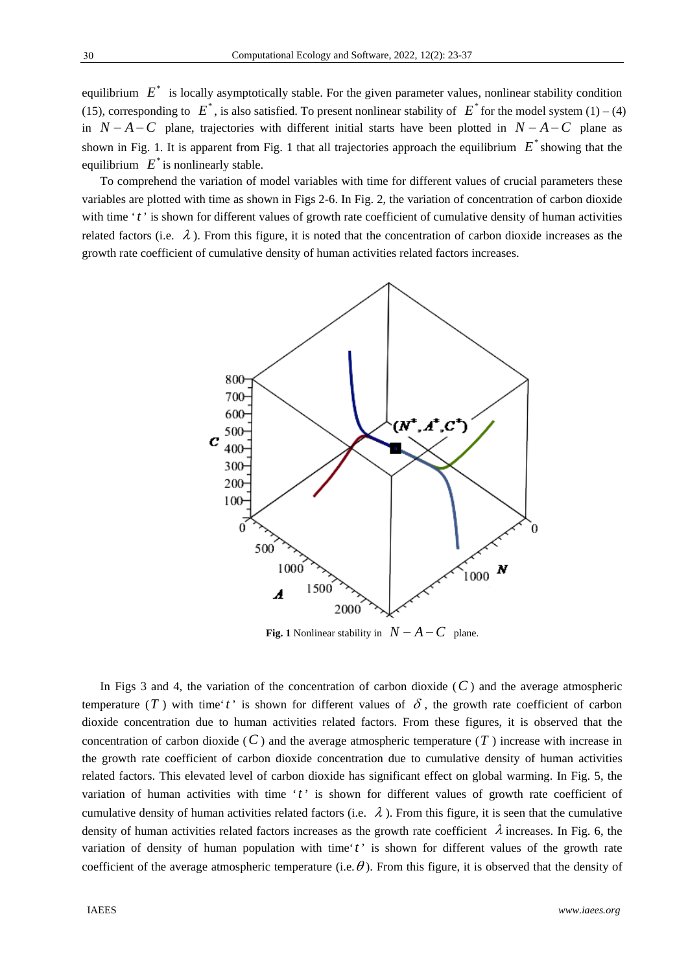equilibrium  $E^*$  is locally asymptotically stable. For the given parameter values, nonlinear stability condition (15), corresponding to  $E^*$ , is also satisfied. To present nonlinear stability of  $E^*$  for the model system (1) – (4) in  $N-A-C$  plane, trajectories with different initial starts have been plotted in  $N-A-C$  plane as shown in Fig. 1. It is apparent from Fig. 1 that all trajectories approach the equilibrium  $E^*$  showing that the equilibrium  $E^*$  is nonlinearly stable.

To comprehend the variation of model variables with time for different values of crucial parameters these variables are plotted with time as shown in Figs 2-6. In Fig. 2, the variation of concentration of carbon dioxide with time '*t*' is shown for different values of growth rate coefficient of cumulative density of human activities related factors (i.e.  $\lambda$ ). From this figure, it is noted that the concentration of carbon dioxide increases as the growth rate coefficient of cumulative density of human activities related factors increases.



**Fig. 1** Nonlinear stability in  $N - A - C$  plane.

In Figs 3 and 4, the variation of the concentration of carbon dioxide  $(C)$  and the average atmospheric temperature (*T*) with time'*t*' is shown for different values of  $\delta$ , the growth rate coefficient of carbon dioxide concentration due to human activities related factors. From these figures, it is observed that the concentration of carbon dioxide  $(C)$  and the average atmospheric temperature  $(T)$  increase with increase in the growth rate coefficient of carbon dioxide concentration due to cumulative density of human activities related factors. This elevated level of carbon dioxide has significant effect on global warming. In Fig. 5, the variation of human activities with time '*t*' is shown for different values of growth rate coefficient of cumulative density of human activities related factors (i.e.  $\lambda$ ). From this figure, it is seen that the cumulative density of human activities related factors increases as the growth rate coefficient  $\lambda$  increases. In Fig. 6, the variation of density of human population with time'*t* ' is shown for different values of the growth rate coefficient of the average atmospheric temperature (i.e.  $\theta$ ). From this figure, it is observed that the density of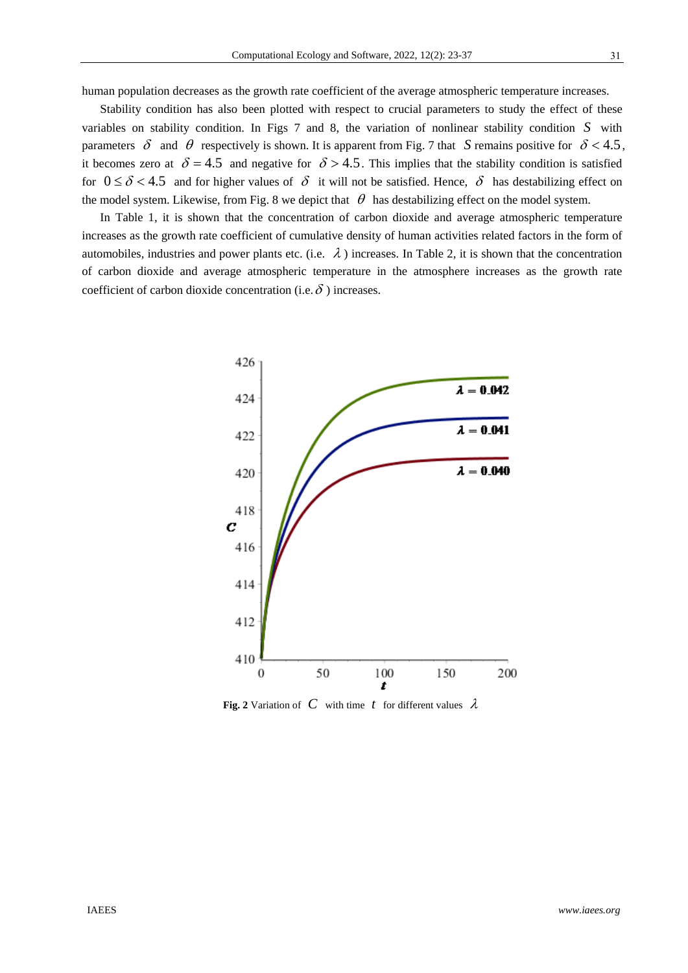human population decreases as the growth rate coefficient of the average atmospheric temperature increases.

Stability condition has also been plotted with respect to crucial parameters to study the effect of these variables on stability condition. In Figs 7 and 8, the variation of nonlinear stability condition *S* with parameters  $\delta$  and  $\theta$  respectively is shown. It is apparent from Fig. 7 that *S* remains positive for  $\delta$  < 4.5, it becomes zero at  $\delta = 4.5$  and negative for  $\delta > 4.5$ . This implies that the stability condition is satisfied for  $0 \le \delta < 4.5$  and for higher values of  $\delta$  it will not be satisfied. Hence,  $\delta$  has destabilizing effect on the model system. Likewise, from Fig. 8 we depict that  $\theta$  has destabilizing effect on the model system.

In Table 1, it is shown that the concentration of carbon dioxide and average atmospheric temperature increases as the growth rate coefficient of cumulative density of human activities related factors in the form of automobiles, industries and power plants etc. (i.e.  $\lambda$ ) increases. In Table 2, it is shown that the concentration of carbon dioxide and average atmospheric temperature in the atmosphere increases as the growth rate coefficient of carbon dioxide concentration (i.e.  $\delta$ ) increases.



**Fig. 2** Variation of C with time t for different values  $\lambda$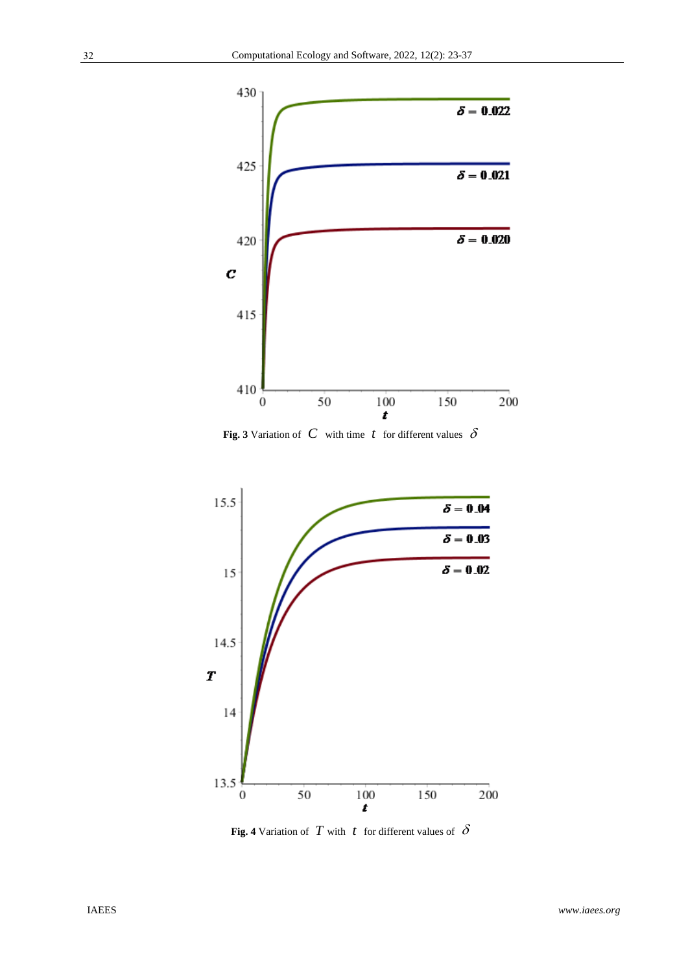

**Fig. 3** Variation of  $C$  with time  $t$  for different values  $\delta$ 



**Fig. 4** Variation of *T* with *t* for different values of  $\delta$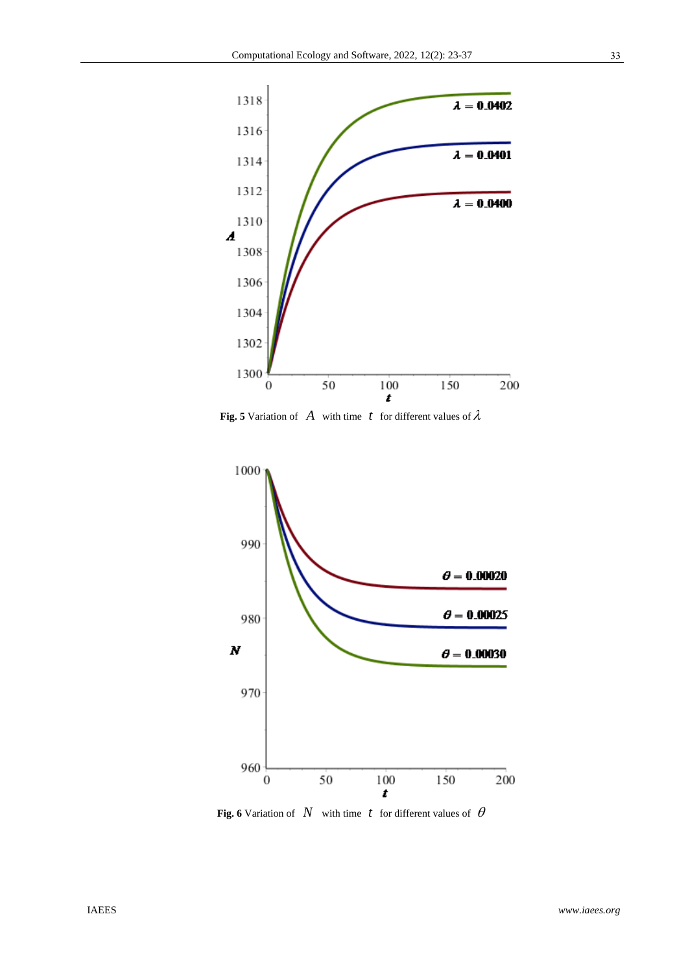

**Fig. 5** Variation of *A* with time *t* for different values of  $\lambda$ 



**Fig. 6** Variation of  $N$  with time  $t$  for different values of  $\theta$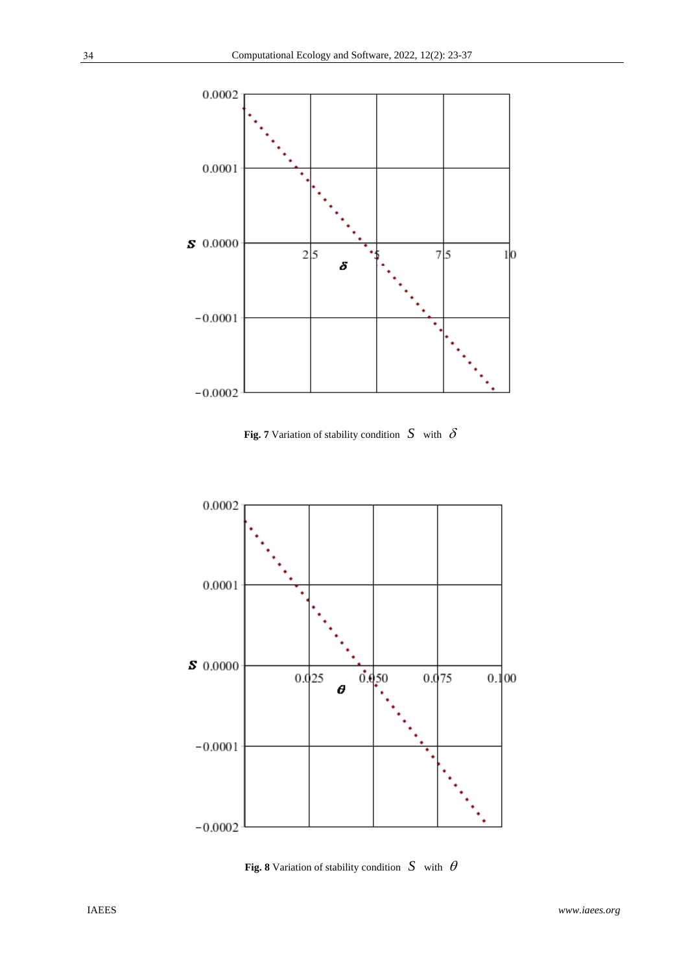





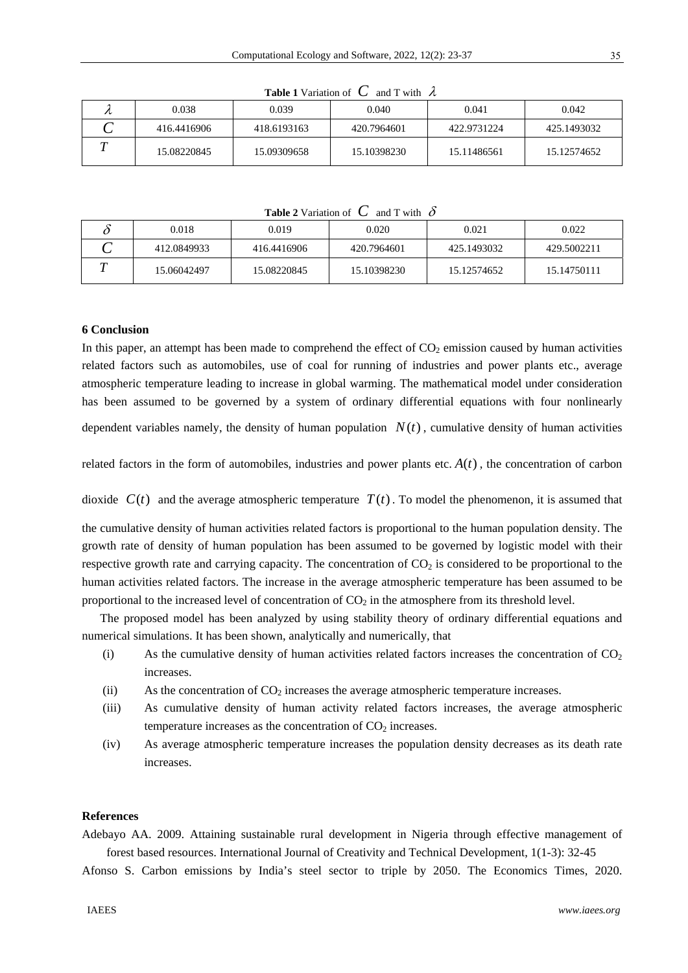| $\cdots$ |             |             |             |             |             |  |  |  |  |
|----------|-------------|-------------|-------------|-------------|-------------|--|--|--|--|
|          | 0.038       | 0.039       | 0.040       | 0.041       | 0.042       |  |  |  |  |
|          | 416.4416906 | 418.6193163 | 420.7964601 | 422.9731224 | 425.1493032 |  |  |  |  |
|          | 15.08220845 | 15.09309658 | 15.10398230 | 15.11486561 | 15.12574652 |  |  |  |  |

**Table 1** Variation of  $C$  and T with  $\lambda$ 

**Table 2** Variation of  $C$  and T with  $\delta$ 

|   | 0.018       | 0.019       | 0.020       | 0.021       | 0.022       |
|---|-------------|-------------|-------------|-------------|-------------|
| ⌒ | 412.0849933 | 416.4416906 | 420.7964601 | 425.1493032 | 429.5002211 |
|   | 15.06042497 | 15.08220845 | 15.10398230 | 15.12574652 | 15.14750111 |

## **6 Conclusion**

In this paper, an attempt has been made to comprehend the effect of  $CO<sub>2</sub>$  emission caused by human activities related factors such as automobiles, use of coal for running of industries and power plants etc., average atmospheric temperature leading to increase in global warming. The mathematical model under consideration has been assumed to be governed by a system of ordinary differential equations with four nonlinearly dependent variables namely, the density of human population  $N(t)$ , cumulative density of human activities

related factors in the form of automobiles, industries and power plants etc.  $A(t)$ , the concentration of carbon

dioxide  $C(t)$  and the average atmospheric temperature  $T(t)$ . To model the phenomenon, it is assumed that

the cumulative density of human activities related factors is proportional to the human population density. The growth rate of density of human population has been assumed to be governed by logistic model with their respective growth rate and carrying capacity. The concentration of  $CO<sub>2</sub>$  is considered to be proportional to the human activities related factors. The increase in the average atmospheric temperature has been assumed to be proportional to the increased level of concentration of  $CO<sub>2</sub>$  in the atmosphere from its threshold level.

The proposed model has been analyzed by using stability theory of ordinary differential equations and numerical simulations. It has been shown, analytically and numerically, that

- (i) As the cumulative density of human activities related factors increases the concentration of  $CO<sub>2</sub>$ increases.
- (ii) As the concentration of  $CO<sub>2</sub>$  increases the average atmospheric temperature increases.
- (iii) As cumulative density of human activity related factors increases, the average atmospheric temperature increases as the concentration of  $CO<sub>2</sub>$  increases.
- (iv) As average atmospheric temperature increases the population density decreases as its death rate increases.

## **References**

Adebayo AA. 2009. Attaining sustainable rural development in Nigeria through effective management of forest based resources. International Journal of Creativity and Technical Development, 1(1-3): 32-45

Afonso S. Carbon emissions by India's steel sector to triple by 2050. The Economics Times, 2020.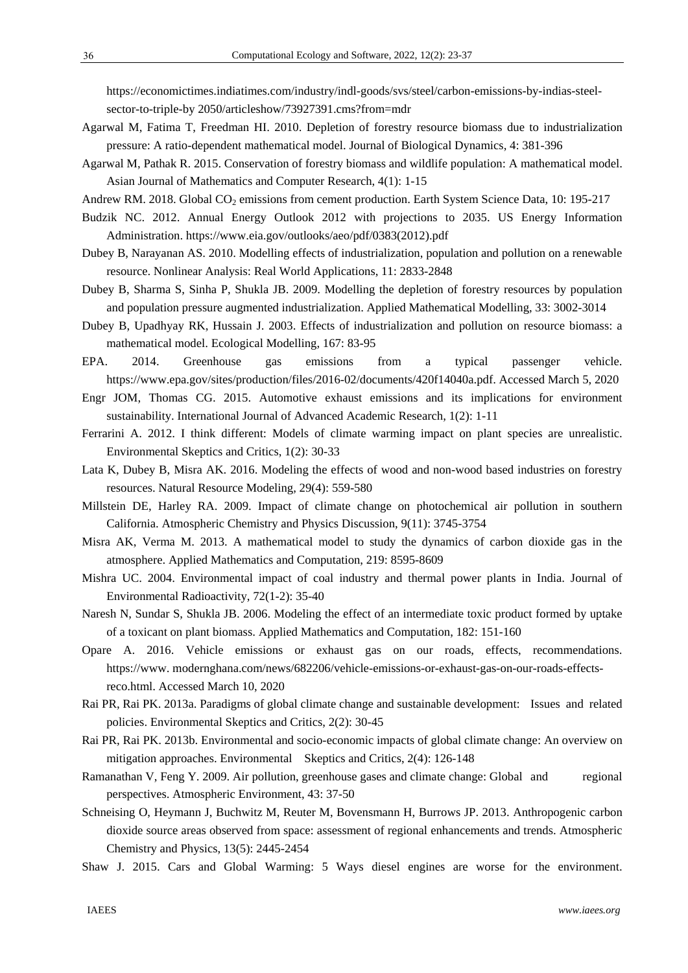https://economictimes.indiatimes.com/industry/indl-goods/svs/steel/carbon-emissions-by-indias-steelsector-to-triple-by 2050/articleshow/73927391.cms?from=mdr

- Agarwal M, Fatima T, Freedman HI. 2010. Depletion of forestry resource biomass due to industrialization pressure: A ratio-dependent mathematical model. Journal of Biological Dynamics, 4: 381-396
- Agarwal M, Pathak R. 2015. Conservation of forestry biomass and wildlife population: A mathematical model. Asian Journal of Mathematics and Computer Research, 4(1): 1-15
- Andrew RM. 2018. Global CO<sub>2</sub> emissions from cement production. Earth System Science Data, 10: 195-217
- Budzik NC. 2012. Annual Energy Outlook 2012 with projections to 2035. US Energy Information Administration. https://www.eia.gov/outlooks/aeo/pdf/0383(2012).pdf
- Dubey B, Narayanan AS. 2010. Modelling effects of industrialization, population and pollution on a renewable resource. Nonlinear Analysis: Real World Applications, 11: 2833-2848
- Dubey B, Sharma S, Sinha P, Shukla JB. 2009. Modelling the depletion of forestry resources by population and population pressure augmented industrialization. Applied Mathematical Modelling, 33: 3002-3014
- Dubey B, Upadhyay RK, Hussain J. 2003. Effects of industrialization and pollution on resource biomass: a mathematical model. Ecological Modelling, 167: 83-95
- EPA. 2014. Greenhouse gas emissions from a typical passenger vehicle. https://www.epa.gov/sites/production/files/2016-02/documents/420f14040a.pdf. Accessed March 5, 2020
- Engr JOM, Thomas CG. 2015. Automotive exhaust emissions and its implications for environment sustainability. International Journal of Advanced Academic Research, 1(2): 1-11
- Ferrarini A. 2012. I think different: Models of climate warming impact on plant species are unrealistic. Environmental Skeptics and Critics, 1(2): 30-33
- Lata K, Dubey B, Misra AK. 2016. Modeling the effects of wood and non-wood based industries on forestry resources. Natural Resource Modeling, 29(4): 559-580
- Millstein DE, Harley RA. 2009. Impact of climate change on photochemical air pollution in southern California. Atmospheric Chemistry and Physics Discussion, 9(11): 3745-3754
- Misra AK, Verma M. 2013. A mathematical model to study the dynamics of carbon dioxide gas in the atmosphere. Applied Mathematics and Computation, 219: 8595-8609
- Mishra UC. 2004. Environmental impact of coal industry and thermal power plants in India. Journal of Environmental Radioactivity, 72(1-2): 35-40
- Naresh N, Sundar S, Shukla JB. 2006. Modeling the effect of an intermediate toxic product formed by uptake of a toxicant on plant biomass. Applied Mathematics and Computation, 182: 151-160
- Opare A. 2016. Vehicle emissions or exhaust gas on our roads, effects, recommendations. https://www. modernghana.com/news/682206/vehicle-emissions-or-exhaust-gas-on-our-roads-effectsreco.html. Accessed March 10, 2020
- Rai PR, Rai PK. 2013a. Paradigms of global climate change and sustainable development: Issues and related policies. Environmental Skeptics and Critics, 2(2): 30-45
- Rai PR, Rai PK. 2013b. Environmental and socio-economic impacts of global climate change: An overview on mitigation approaches. Environmental Skeptics and Critics, 2(4): 126-148
- Ramanathan V, Feng Y. 2009. Air pollution, greenhouse gases and climate change: Global and regional perspectives. Atmospheric Environment, 43: 37-50
- Schneising O, Heymann J, Buchwitz M, Reuter M, Bovensmann H, Burrows JP. 2013. Anthropogenic carbon dioxide source areas observed from space: assessment of regional enhancements and trends. Atmospheric Chemistry and Physics, 13(5): 2445-2454
- Shaw J. 2015. Cars and Global Warming: 5 Ways diesel engines are worse for the environment.